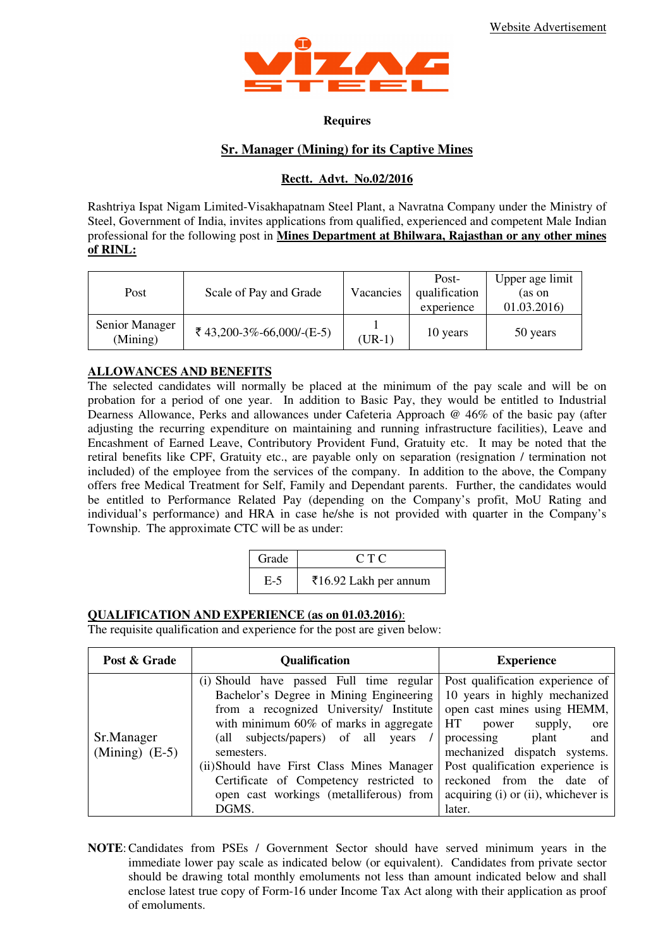

#### **Requires**

# **Sr. Manager (Mining) for its Captive Mines**

## **Rectt. Advt. No.02/2016**

Rashtriya Ispat Nigam Limited-Visakhapatnam Steel Plant, a Navratna Company under the Ministry of Steel, Government of India, invites applications from qualified, experienced and competent Male Indian professional for the following post in **Mines Department at Bhilwara, Rajasthan or any other mines of RINL:**

| Post                       | Scale of Pay and Grade    | Vacancies | Post-<br>qualification<br>experience | Upper age limit<br>(as on<br>01.03.2016) |
|----------------------------|---------------------------|-----------|--------------------------------------|------------------------------------------|
| Senior Manager<br>(Mining) | ₹ 43,200-3%-66,000/-(E-5) | $(UR-1)$  | 10 years                             | 50 years                                 |

## **ALLOWANCES AND BENEFITS**

The selected candidates will normally be placed at the minimum of the pay scale and will be on probation for a period of one year. In addition to Basic Pay, they would be entitled to Industrial Dearness Allowance, Perks and allowances under Cafeteria Approach @ 46% of the basic pay (after adjusting the recurring expenditure on maintaining and running infrastructure facilities), Leave and Encashment of Earned Leave, Contributory Provident Fund, Gratuity etc. It may be noted that the retiral benefits like CPF, Gratuity etc., are payable only on separation (resignation / termination not included) of the employee from the services of the company. In addition to the above, the Company offers free Medical Treatment for Self, Family and Dependant parents. Further, the candidates would be entitled to Performance Related Pay (depending on the Company's profit, MoU Rating and individual's performance) and HRA in case he/she is not provided with quarter in the Company's Township. The approximate CTC will be as under:

| Grade | CTC                   |
|-------|-----------------------|
| E-5   | ₹16.92 Lakh per annum |

## **QUALIFICATION AND EXPERIENCE (as on 01.03.2016)**:

The requisite qualification and experience for the post are given below:

| Post & Grade                   | <b>Qualification</b>                                                                                                                                                                                                                                                                                                                                                         | <b>Experience</b>                                                                                                                                                                                                                                                                                                  |
|--------------------------------|------------------------------------------------------------------------------------------------------------------------------------------------------------------------------------------------------------------------------------------------------------------------------------------------------------------------------------------------------------------------------|--------------------------------------------------------------------------------------------------------------------------------------------------------------------------------------------------------------------------------------------------------------------------------------------------------------------|
| Sr.Manager<br>(Mining) $(E-5)$ | (i) Should have passed Full time regular<br>Bachelor's Degree in Mining Engineering<br>from a recognized University/ Institute<br>with minimum $60\%$ of marks in aggregate<br>(all subjects/papers) of all years<br>semesters.<br>(ii) Should have First Class Mines Manager<br>Certificate of Competency restricted to<br>open cast workings (metalliferous) from<br>DGMS. | Post qualification experience of<br>10 years in highly mechanized<br>open cast mines using HEMM,<br>HT.<br>supply,<br>power<br>ore<br>plant<br>processing<br>and<br>mechanized dispatch systems.<br>Post qualification experience is<br>reckoned from the date of<br>acquiring (i) or (ii), whichever is<br>later. |

**NOTE**: Candidates from PSEs / Government Sector should have served minimum years in the immediate lower pay scale as indicated below (or equivalent). Candidates from private sector should be drawing total monthly emoluments not less than amount indicated below and shall enclose latest true copy of Form-16 under Income Tax Act along with their application as proof of emoluments.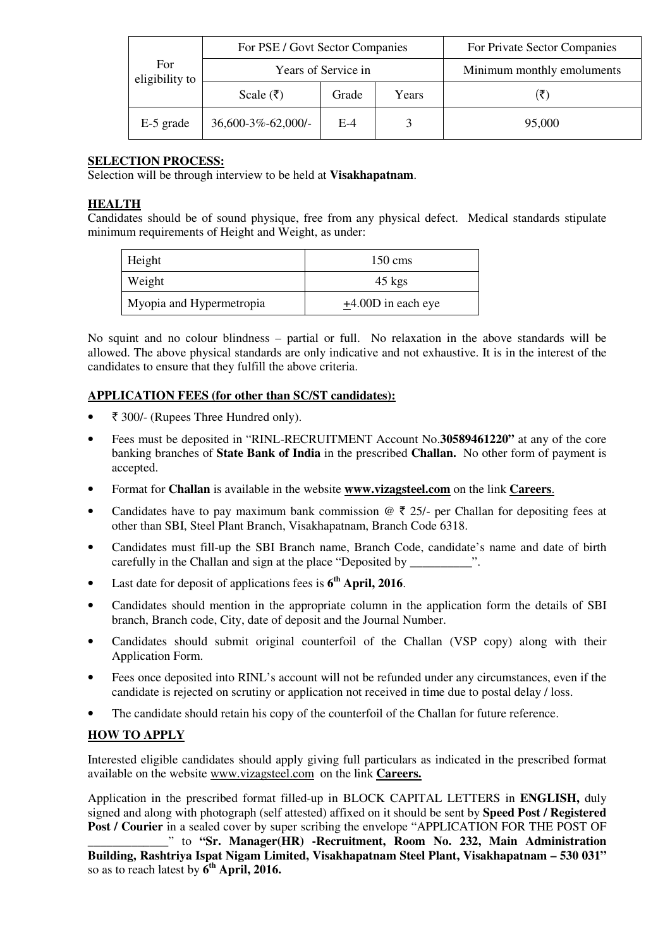|                              | For PSE / Govt Sector Companies |       |       | For Private Sector Companies |
|------------------------------|---------------------------------|-------|-------|------------------------------|
| <b>For</b><br>eligibility to | Years of Service in             |       |       | Minimum monthly emoluments   |
|                              | Scale $(₹)$                     | Grade | Years | (₹`                          |
| E-5 grade                    | $36,600-3\% -62,000/$ -         | E-4   |       | 95,000                       |

# **SELECTION PROCESS:**

Selection will be through interview to be held at **Visakhapatnam**.

## **HEALTH**

Candidates should be of sound physique, free from any physical defect. Medical standards stipulate minimum requirements of Height and Weight, as under:

| Height                   | $150 \text{ cm}$ s      |  |
|--------------------------|-------------------------|--|
| Weight                   | $45 \text{ kgs}$        |  |
| Myopia and Hypermetropia | $\pm$ 4.00D in each eye |  |

No squint and no colour blindness – partial or full. No relaxation in the above standards will be allowed. The above physical standards are only indicative and not exhaustive. It is in the interest of the candidates to ensure that they fulfill the above criteria.

## **APPLICATION FEES (for other than SC/ST candidates):**

- ` 300/- (Rupees Three Hundred only).
- Fees must be deposited in "RINL-RECRUITMENT Account No.**30589461220"** at any of the core banking branches of **State Bank of India** in the prescribed **Challan.** No other form of payment is accepted.
- Format for **Challan** is available in the website **www.vizagsteel.com** on the link **Careers**.
- Candidates have to pay maximum bank commission  $\mathcal{Q} \bar{\tau}$  25/- per Challan for depositing fees at other than SBI, Steel Plant Branch, Visakhapatnam, Branch Code 6318.
- Candidates must fill-up the SBI Branch name, Branch Code, candidate's name and date of birth carefully in the Challan and sign at the place "Deposited by  $\ldots$ ".
- Last date for deposit of applications fees is **6 th April, 2016**.
- Candidates should mention in the appropriate column in the application form the details of SBI branch, Branch code, City, date of deposit and the Journal Number.
- Candidates should submit original counterfoil of the Challan (VSP copy) along with their Application Form.
- Fees once deposited into RINL's account will not be refunded under any circumstances, even if the candidate is rejected on scrutiny or application not received in time due to postal delay / loss.
- The candidate should retain his copy of the counterfoil of the Challan for future reference.

# **HOW TO APPLY**

Interested eligible candidates should apply giving full particulars as indicated in the prescribed format available on the website www.vizagsteel.com on the link **Careers.**

Application in the prescribed format filled-up in BLOCK CAPITAL LETTERS in **ENGLISH,** duly signed and along with photograph (self attested) affixed on it should be sent by **Speed Post / Registered Post / Courier** in a sealed cover by super scribing the envelope "APPLICATION FOR THE POST OF

\_\_\_\_\_\_\_\_\_\_\_\_\_" to **"Sr. Manager(HR) -Recruitment, Room No. 232, Main Administration Building, Rashtriya Ispat Nigam Limited, Visakhapatnam Steel Plant, Visakhapatnam – 530 031"** so as to reach latest by  $\bar{6}^{\text{th}}$  **April, 2016.**